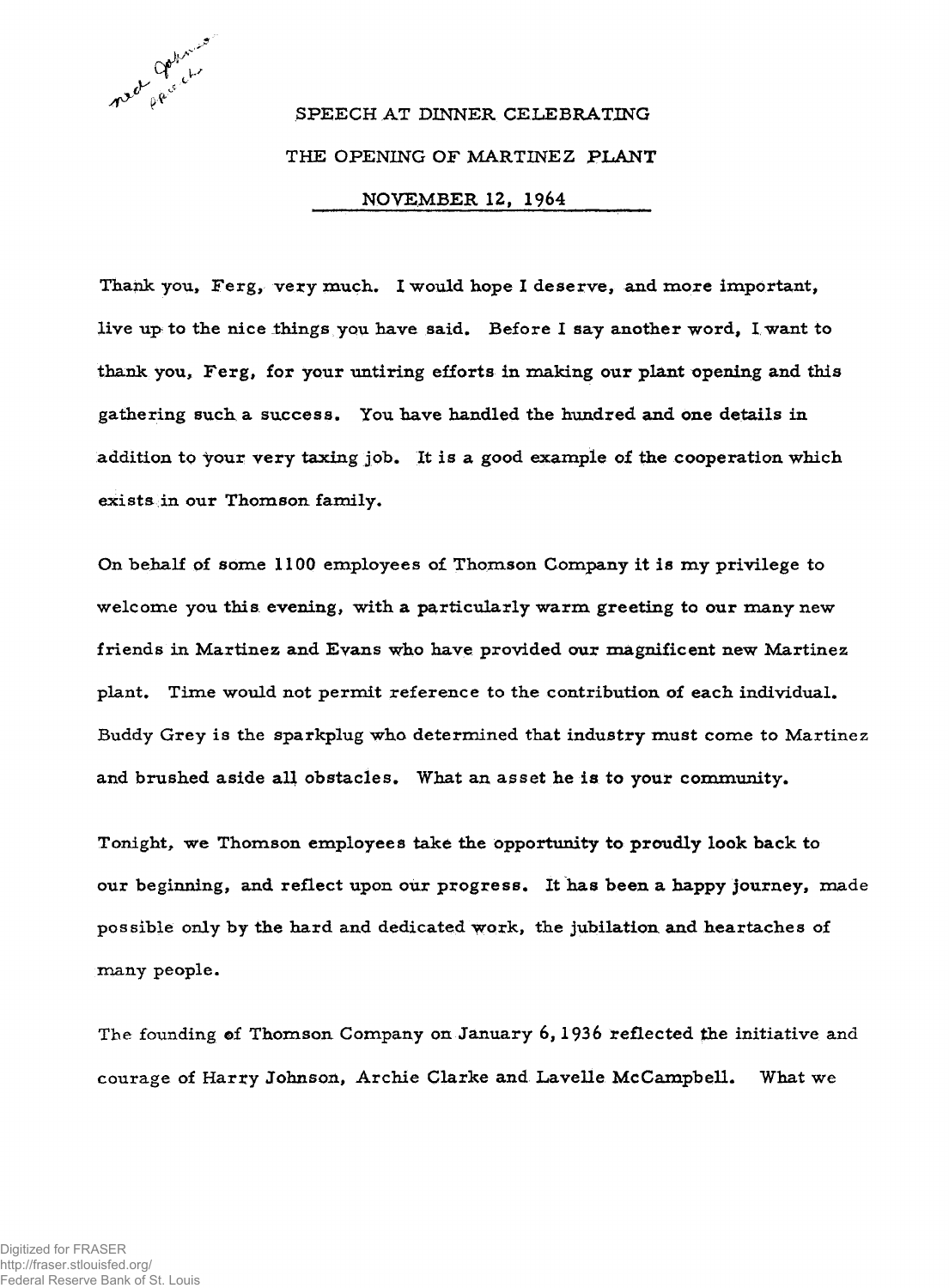

## $\int \mathrm{d} \theta \, \mathrm{d} \theta \, \mathrm{d} \theta$ <sup>*\**</sup> *speech at dinner celebrating* **THE OPENING OF MARTINEZ PLANT NOVEMBER 12, 1964\_\_\_\_\_\_\_\_\_**

Thank you, Ferg, very much. I would hope I deserve, and more important, live up to the nice things you have said. Before I say another word, I want to thank you, Ferg, for your untiring efforts in making our plant opening and this **gathering such a success. You have handled the hundred and one details in addition to Your very taxing job. It is a good example of the cooperation which exists in our Thomson family.**

**On behalf of some 1100 employees of Thomson Company it is my privilege to** welcome you this evening, with a particularly warm greeting to our many new **friends in Martinez and Evans who have provided our magnificent new Martinez** plant. Time would not permit reference to the contribution of each individual. **Buddy Grey is the sparkplug who determined that industry must come to Martinez and brushed aside all obstacles. What an asset he is to your community.**

**Tonight, we Thomson employees take the opportunity to proudly look back to our beginning, and reflect upon our progress. It has been a happy journey, made possible only by the hard and dedicated work, the jubilation and heartaches of many people.**

The founding of Thomson Company on January 6, 1936 reflected the initiative and courage of Harry Johnson, Archie Clarke and Lavelle McCampbell. What we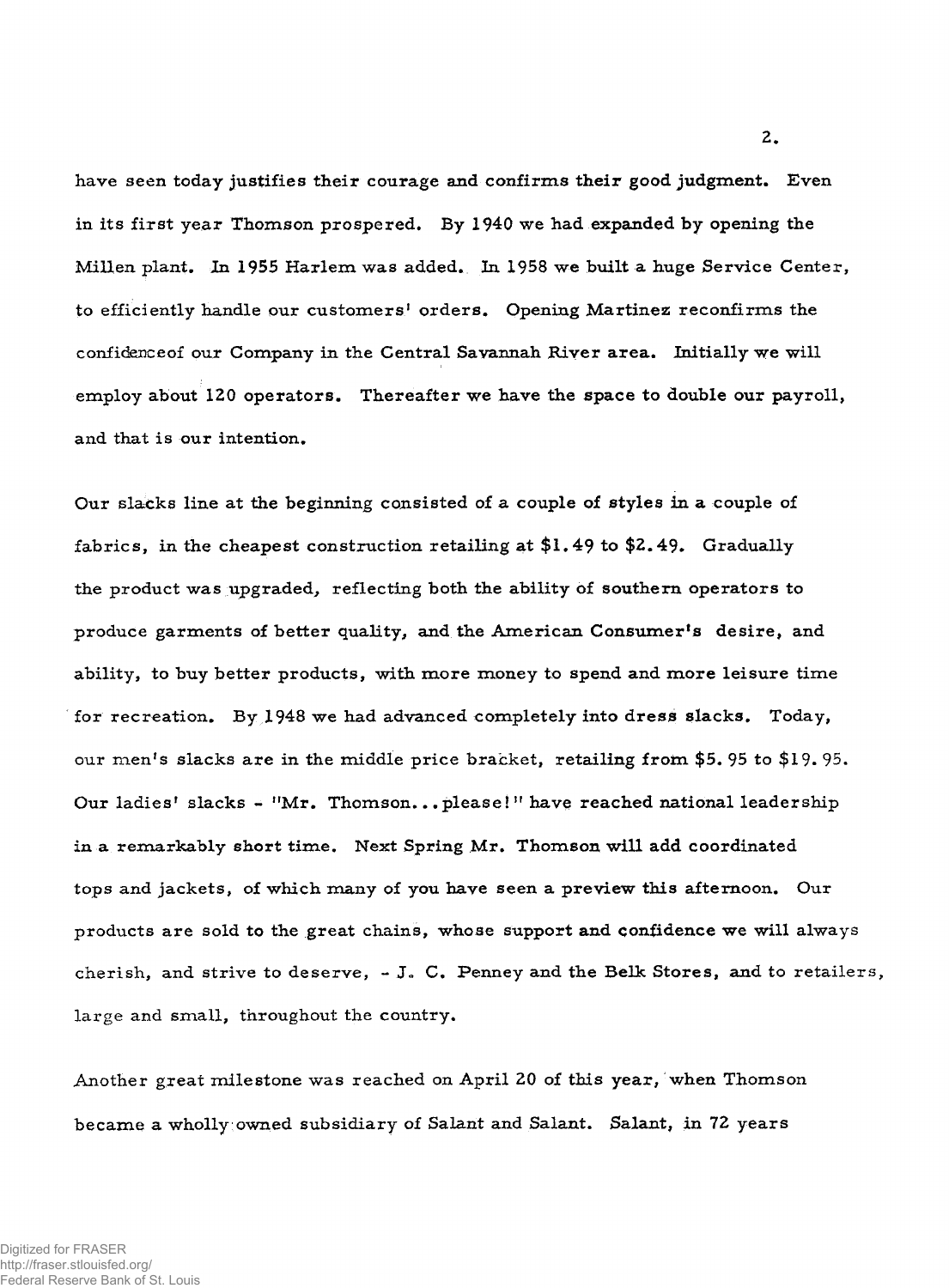**have seen today justifies their courage and confirms their good judgment. Even in its first year Thomson prospered. By 1940 we had expanded by opening the Millen plant. In 1955 Harlem was added. In 1958 we built a huge Service Center,** to efficiently handle our customers<sup>1</sup> orders. Opening Martinez reconfirms the confidence of our Company in the Central Savannah River area. Initially we will **employ about 120 operators. Thereafter we have the space to double our payroll, and that is our intention.**

**Our slacks line at the beginning consisted of a couple of styles in a couple of** fabrics, in the cheapest construction retailing at \$1.49 to \$2.49. Gradually **the product was upgraded, reflecting both the ability of southern operators to produce garments of better quality, and the Am erican Consumer's desire, and** ability, to buy better products, with more money to spend and more leisure time **for recreation. By 1948 we had advanced completely into dress slacks. Today, our men's slacks are in the middle price bracket, retailing from \$5. 95 to** \$19. 95. Our ladies' slacks - "Mr. Thomson...please!" have reached national leadership in a remarkably short time. Next Spring Mr. Thomson will add coordinated **tops and jackets, of which many of you have seen a preview this afternoon. Our products are sold to the great chains, whose support and confidence we will always cherish, and strive to deserve, - J . C. Penney and the Belk Stores, and to retailers, large and small, throughout the country.**

**Another great milestone was reached on April 20 of this year, when Thomson** became a **wholly owned subsidiary of Salant and Salant. Salant, in** 72 **years**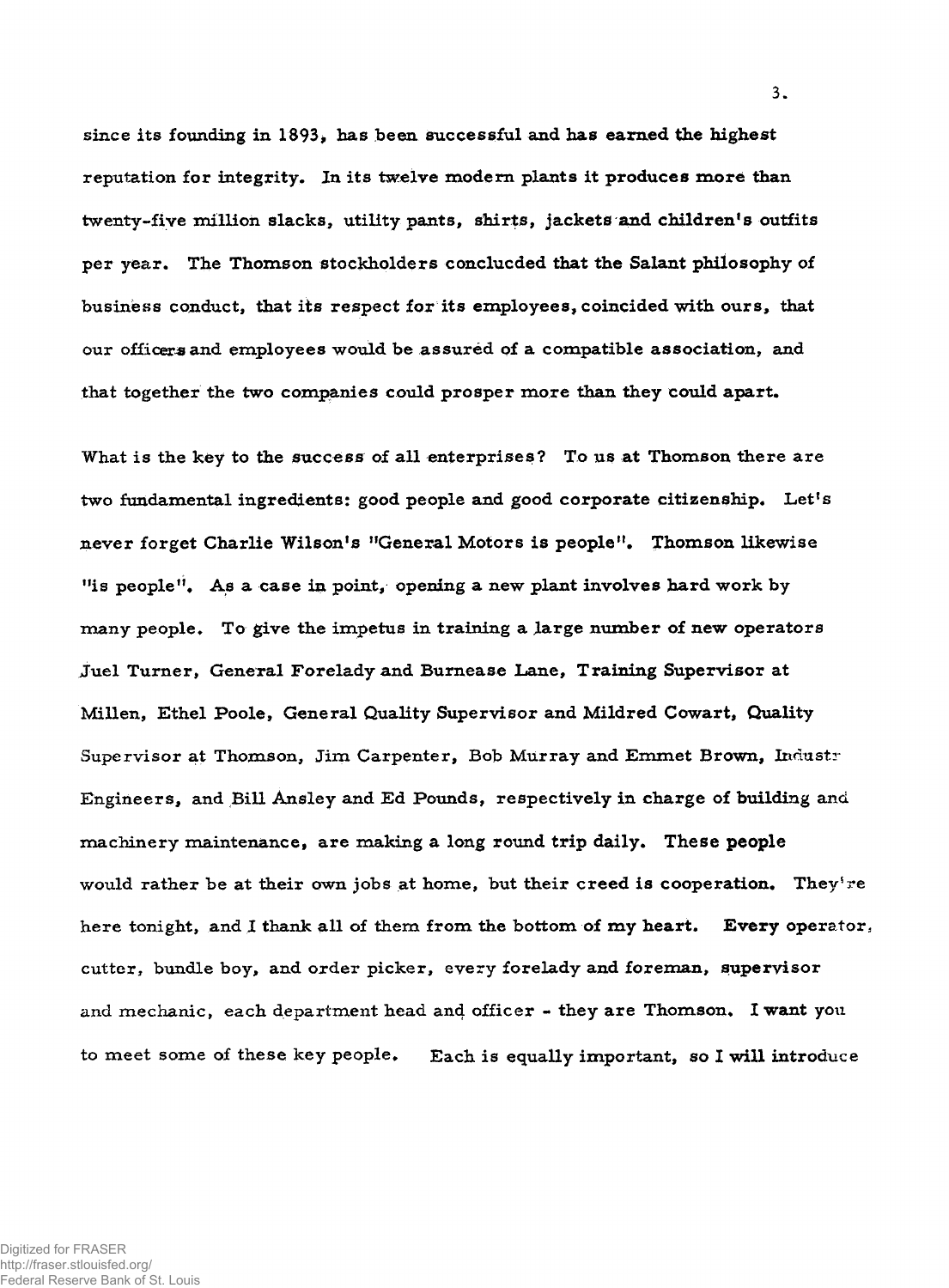since its founding in 1893, has been successful and has earned the highest reputation for integrity. In its twelve modern plants it produces more than **twenty-five million slacks, utility pants, shirts, jackets and children's outfits per year. The Thomson stockholders conclucded that the Salant philosophy of business conduct, that its respect for its employees, coincided with ours, that our officers and employees would be assured of a compatible association, and that together the two companies could prosper m ore than they could apart.**

What is the key to the success of all enterprises? To us at Thomson there are two fundamental ingredients: good people and good corporate citizenship. Let's **never forget Charlie Wilson's "General Motors is people". Thomson likewise "is people". As a case in point, opening a new plant involves hard work by many people. To give the impetus in training a large number of new operators Juel Turner, General Forelady and Bum ease Lane, Training Supervisor at Millen, Ethel Poole, General Quality Supervisor and Mildred Cowart, Quality** Supervisor at Thomson, Jim Carpenter, Bob Murray and Emmet Brown, Industr **Engineers, and Bill Ansley and Ed Pounds, respectively in charge of building and machinery maintenance, are making a long round trip daily. These people would rather be at their own jobs at home, but their creed is cooperation. They're here tonight, and I thank all of them from the bottom of my heart. Every operator, cutter, bundle boy, and order picker, every forelady and foreman, supervisor and mechanic, each department head and officer - they are Thomson. I want you to m eet some of these key people. Each is equally important, so I will introduce**

**3.**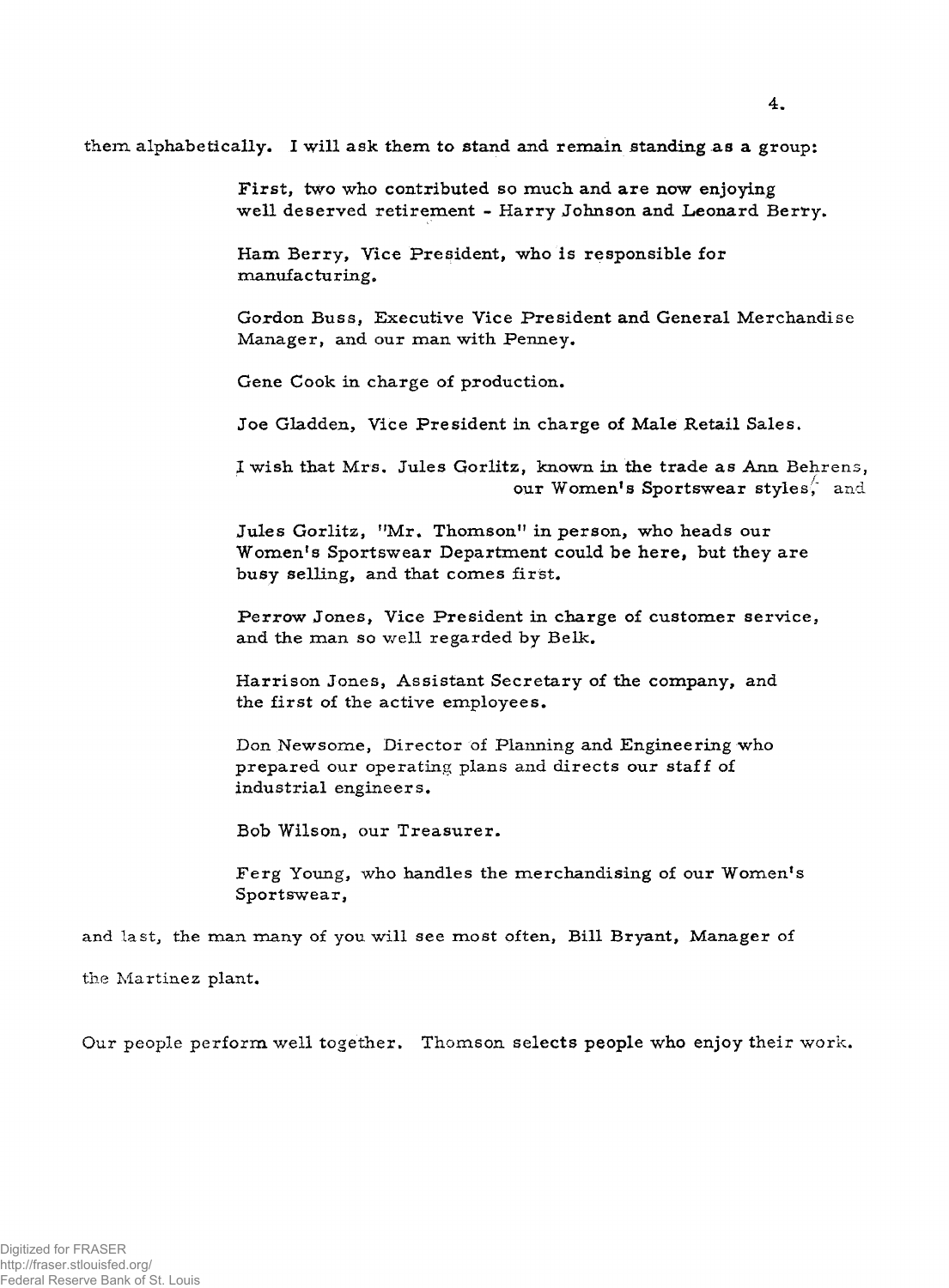**them alphabetically. I will ask them to stand and remain standing as a group:**

First, two who contributed so much and are now enjoying **well deserved retirement - Harry Johnson and Leonard Berry.**

Ham Berry, Vice President, who is responsible for **manufac tu ring.**

**Gordon Buss, Executive Vice President and General Merchandise** Manager, and our man with Penney.

**Gene Cook in charge of production.**

**Joe Gladden, Vice President in charge of Male Retail Sales.**

I wish that Mrs. Jules Gorlitz, known in the trade as Ann Behrens, **our Women's Sportswear styles**, and

Jules Gorlitz, "Mr. Thomson" in person, who heads our Women's Sportswear Department could be here, but they are **busy selling, and that comes first.**

**Perrow Jones, Vice President in charge of customer service,** and the man so well regarded by Belk.

**Harrison Jones, Assistant Secretary of the company, and the first of the active employees.**

Don Newsome, Director of Planning and Engineering who **prepared our operating plans and directs our staff of industrial engineers.**

**Bob Wilson, our Treasurer.**

Ferg Young, who handles the merchandising of our Women's **Sportswear,**

and last, the man many of you will see most often, Bill Bryant, Manager of

**the Martinez plant.**

Our people perform well together. Thomson selects people who enjoy their work.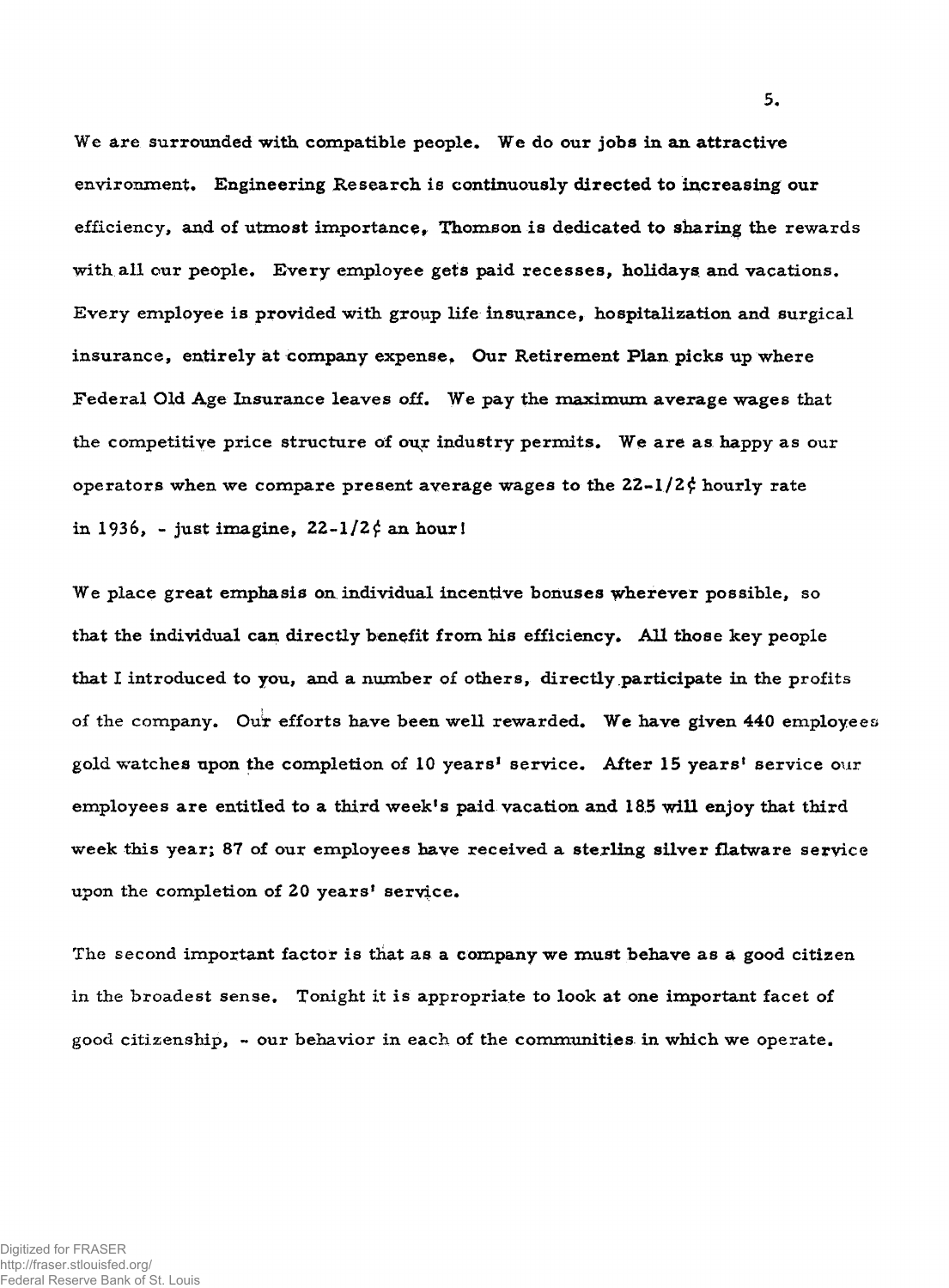**We are surrounded with compatible people. We do our jobs in an attractive** environment. Engineering Research is continuously directed to increasing our efficiency, and of utmost importance, Thomson is dedicated to sharing the rewards with all our people. Every employee gets paid recesses, holidays and vacations. **Every employee is provided with group life insurance, hospitalization and surgical insurance, entirely at company expense, Our Retirement Plan picks up where** Federal Old Age Insurance leaves off. We pay the maximum average wages that the competitive price structure of our industry permits. We are as happy as our **operators when we compare present average wages to the 22-l/2£ hourly rate** in 1936, - just imagine,  $22-1/2\zeta$  an hour!

**We place great emphasis on individual incentive bonuses wherever possible, so that the individual can directly benefit from his efficiency. All those key people that I introduced to you, and a number of others, directly participate in the profits of the company. Out efforts have been well rewarded. We have given 440 employees** gold watches upon the completion of 10 years<sup>1</sup> service. After 15 years<sup>1</sup> service our **employees are entitled to a third week's paid vacation and 18.5 will enjoy that third week this year; 87 of our employees have received a sterling silver flatware service** upon the completion of 20 years' service.

**The second important factor is that as a company we must behave as a good citizen in the broadest sense. Tonight it is appropriate to look at one important facet of good citizenship, - our behavior in each of the communities in which we operate.**

**5.**